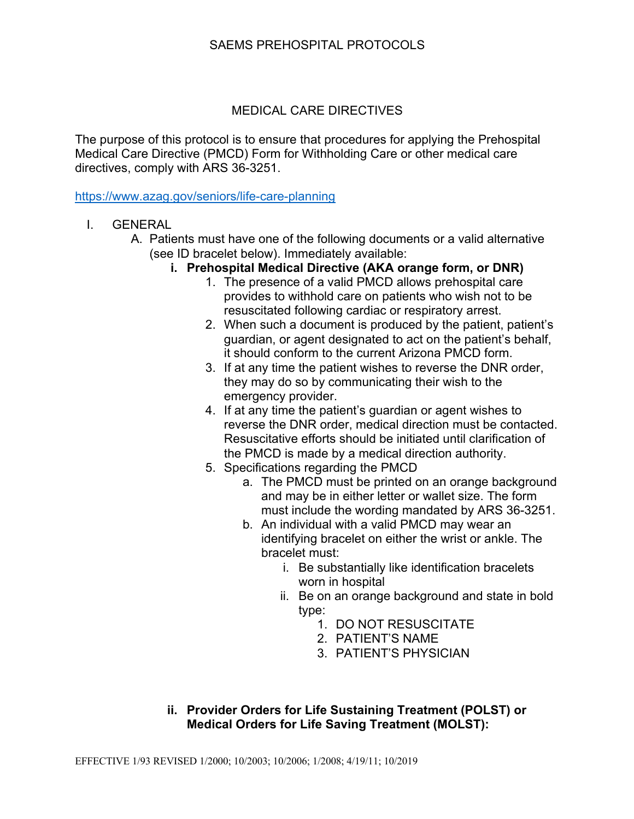## SAEMS PREHOSPITAL PROTOCOLS

### MEDICAL CARE DIRECTIVES

The purpose of this protocol is to ensure that procedures for applying the Prehospital Medical Care Directive (PMCD) Form for Withholding Care or other medical care directives, comply with ARS 36-3251.

https://www.azag.gov/seniors/life-care-planning

- I. GENERAL
	- A. Patients must have one of the following documents or a valid alternative (see ID bracelet below). Immediately available:
		- **i. Prehospital Medical Directive (AKA orange form, or DNR)** 
			- 1. The presence of a valid PMCD allows prehospital care provides to withhold care on patients who wish not to be resuscitated following cardiac or respiratory arrest.
			- 2. When such a document is produced by the patient, patient's guardian, or agent designated to act on the patient's behalf, it should conform to the current Arizona PMCD form.
			- 3. If at any time the patient wishes to reverse the DNR order, they may do so by communicating their wish to the emergency provider.
			- 4. If at any time the patient's guardian or agent wishes to reverse the DNR order, medical direction must be contacted. Resuscitative efforts should be initiated until clarification of the PMCD is made by a medical direction authority.
			- 5. Specifications regarding the PMCD
				- a. The PMCD must be printed on an orange background and may be in either letter or wallet size. The form must include the wording mandated by ARS 36-3251.
				- b. An individual with a valid PMCD may wear an identifying bracelet on either the wrist or ankle. The bracelet must:
					- i. Be substantially like identification bracelets worn in hospital
					- ii. Be on an orange background and state in bold type:
						- 1. DO NOT RESUSCITATE
						- 2. PATIENT'S NAME
						- 3. PATIENT'S PHYSICIAN

## **ii. Provider Orders for Life Sustaining Treatment (POLST) or Medical Orders for Life Saving Treatment (MOLST):**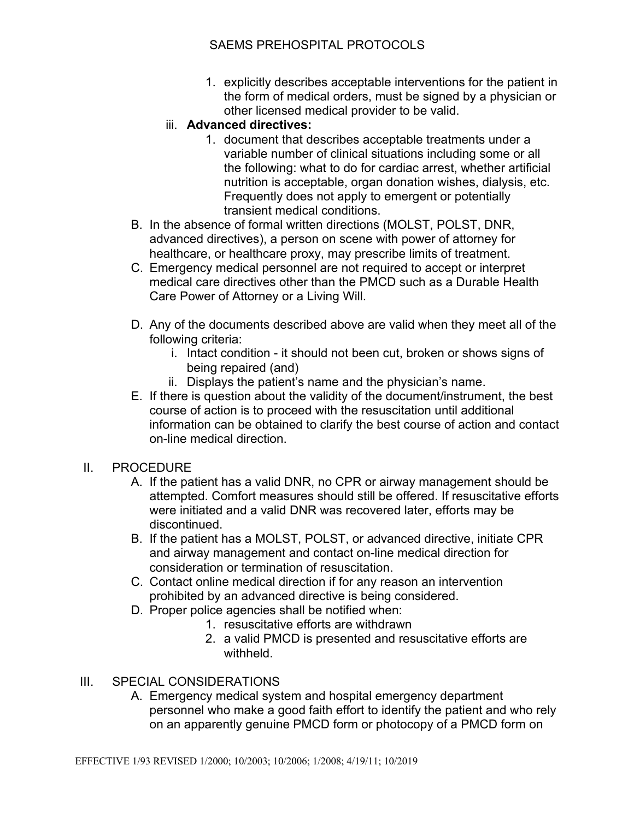# SAEMS PREHOSPITAL PROTOCOLS

- 1. explicitly describes acceptable interventions for the patient in the form of medical orders, must be signed by a physician or other licensed medical provider to be valid.
- iii. **Advanced directives:** 
	- 1. document that describes acceptable treatments under a variable number of clinical situations including some or all the following: what to do for cardiac arrest, whether artificial nutrition is acceptable, organ donation wishes, dialysis, etc. Frequently does not apply to emergent or potentially transient medical conditions.
- B. In the absence of formal written directions (MOLST, POLST, DNR, advanced directives), a person on scene with power of attorney for healthcare, or healthcare proxy, may prescribe limits of treatment.
- C. Emergency medical personnel are not required to accept or interpret medical care directives other than the PMCD such as a Durable Health Care Power of Attorney or a Living Will.
- D. Any of the documents described above are valid when they meet all of the following criteria:
	- i. Intact condition it should not been cut, broken or shows signs of being repaired (and)
	- ii. Displays the patient's name and the physician's name.
- E. If there is question about the validity of the document/instrument, the best course of action is to proceed with the resuscitation until additional information can be obtained to clarify the best course of action and contact on-line medical direction.

### II. PROCEDURE

- A. If the patient has a valid DNR, no CPR or airway management should be attempted. Comfort measures should still be offered. If resuscitative efforts were initiated and a valid DNR was recovered later, efforts may be discontinued.
- B. If the patient has a MOLST, POLST, or advanced directive, initiate CPR and airway management and contact on-line medical direction for consideration or termination of resuscitation.
- C. Contact online medical direction if for any reason an intervention prohibited by an advanced directive is being considered.
- D. Proper police agencies shall be notified when:
	- 1. resuscitative efforts are withdrawn
	- 2. a valid PMCD is presented and resuscitative efforts are withheld.

### III. SPECIAL CONSIDERATIONS

A. Emergency medical system and hospital emergency department personnel who make a good faith effort to identify the patient and who rely on an apparently genuine PMCD form or photocopy of a PMCD form on